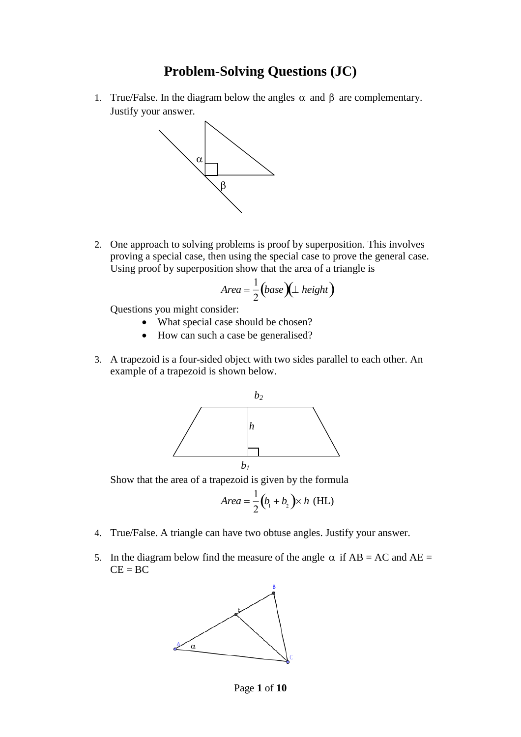## **Problem-Solving Questions (JC)**

1. True/False. In the diagram below the angles  $\alpha$  and  $\beta$  are complementary. Justify your answer.



2. One approach to solving problems is proof by superposition. This involves proving a special case, then using the special case to prove the general case. Using proof by superposition show that the area of a triangle is

$$
Area = \frac{1}{2} (base)(\perp height)
$$

Questions you might consider:

- What special case should be chosen?
- How can such a case be generalised?
- 3. A trapezoid is a four-sided object with two sides parallel to each other. An example of a trapezoid is shown below.



Show that the area of a trapezoid is given by the formula

$$
Area = \frac{1}{2}(b_1 + b_2) \times h \text{ (HL)}
$$

- 4. True/False. A triangle can have two obtuse angles. Justify your answer.
- 5. In the diagram below find the measure of the angle  $\alpha$  if AB = AC and AE =  $CE = BC$



Page **1** of **10**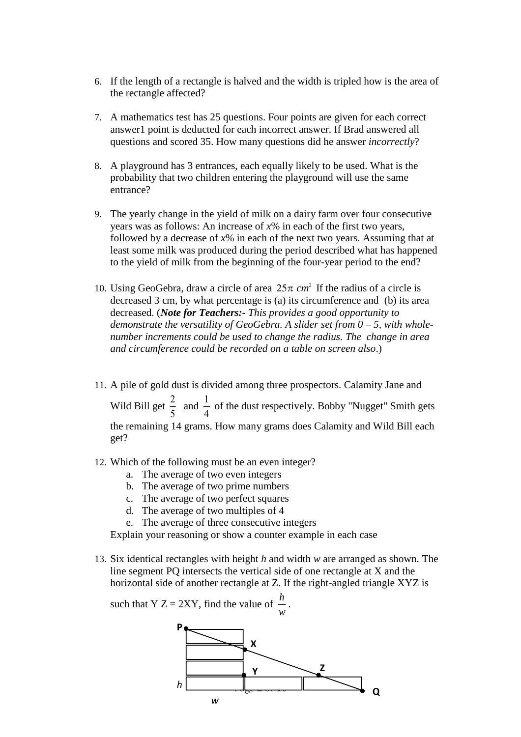- 6. If the length of a rectangle is halved and the width is tripled how is the area of the rectangle affected?
- 7. A mathematics test has 25 questions. Four points are given for each correct answer1 point is deducted for each incorrect answer. If Brad answered all questions and scored 35. How many questions did he answer *incorrectly*?
- 8. A playground has 3 entrances, each equally likely to be used. What is the probability that two children entering the playground will use the same entrance?
- 9. The yearly change in the yield of milk on a dairy farm over four consecutive years was as follows: An increase of *x*% in each of the first two years, followed by a decrease of *x*% in each of the next two years. Assuming that at least some milk was produced during the period described what has happened to the yield of milk from the beginning of the four-year period to the end?
- 10. Using GeoGebra, draw a circle of area  $25\pi$  *cm*<sup>2</sup> If the radius of a circle is decreased 3 cm, by what percentage is (a) its circumference and (b) its area decreased. (*Note for Teachers:- This provides a good opportunity to demonstrate the versatility of GeoGebra. A slider set from 0 – 5, with wholenumber increments could be used to change the radius. The change in area and circumference could be recorded on a table on screen also*.)
- 11. A pile of gold dust is divided among three prospectors. Calamity Jane and Wild Bill get  $\frac{2}{5}$ 5 and  $\frac{1}{4}$  $\frac{1}{4}$  of the dust respectively. Bobby "Nugget" Smith gets the remaining 14 grams. How many grams does Calamity and Wild Bill each get?
- 12. Which of the following must be an even integer?
	- a. The average of two even integers
	- b. The average of two prime numbers
	- c. The average of two perfect squares
	- d. The average of two multiples of 4
	- e. The average of three consecutive integers

Explain your reasoning or show a counter example in each case

13. Six identical rectangles with height *h* and width *w* are arranged as shown. The line segment PQ intersects the vertical side of one rectangle at X and the horizontal side of another rectangle at Z. If the right-angled triangle XYZ is

such that Y Z = 2XY, find the value of 
$$
\frac{h}{w}
$$



.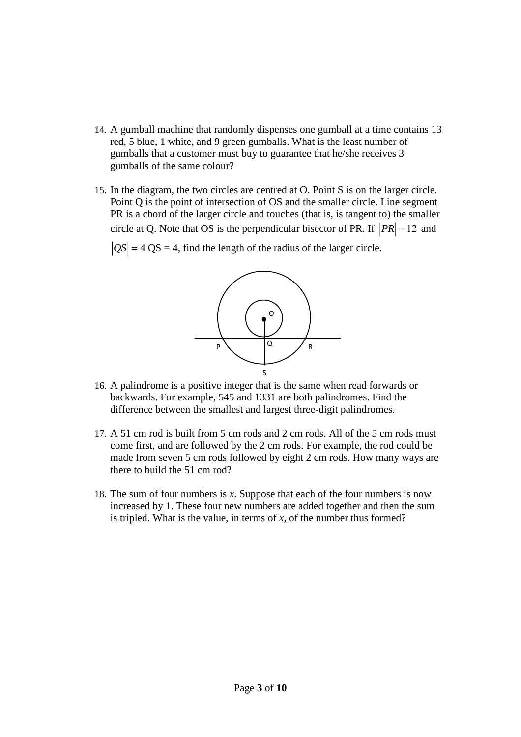- 14. A gumball machine that randomly dispenses one gumball at a time contains 13 red, 5 blue, 1 white, and 9 green gumballs. What is the least number of gumballs that a customer must buy to guarantee that he/she receives 3 gumballs of the same colour?
- 15. In the diagram, the two circles are centred at O. Point S is on the larger circle. Point Q is the point of intersection of OS and the smaller circle. Line segment PR is a chord of the larger circle and touches (that is, is tangent to) the smaller circle at Q. Note that OS is the perpendicular bisector of PR. If  $|PR| = 12$  and

 $QS$  = 4 QS = 4, find the length of the radius of the larger circle.



- 16. A palindrome is a positive integer that is the same when read forwards or backwards. For example, 545 and 1331 are both palindromes. Find the difference between the smallest and largest three-digit palindromes.
- 17. A 51 cm rod is built from 5 cm rods and 2 cm rods. All of the 5 cm rods must come first, and are followed by the 2 cm rods. For example, the rod could be made from seven 5 cm rods followed by eight 2 cm rods. How many ways are there to build the 51 cm rod?
- 18. The sum of four numbers is *x*. Suppose that each of the four numbers is now increased by 1. These four new numbers are added together and then the sum is tripled. What is the value, in terms of *x*, of the number thus formed?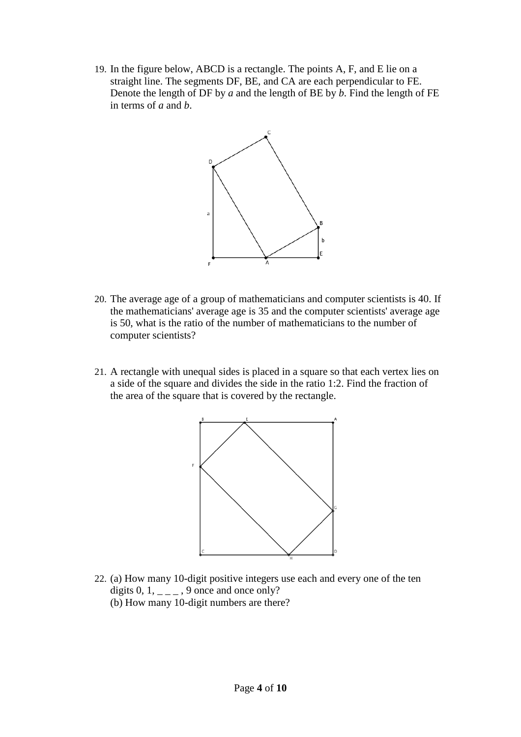19. In the figure below, ABCD is a rectangle. The points A, F, and E lie on a straight line. The segments DF, BE, and CA are each perpendicular to FE. Denote the length of DF by *a* and the length of BE by *b*. Find the length of FE in terms of *a* and *b*.



- 20. The average age of a group of mathematicians and computer scientists is 40. If the mathematicians' average age is 35 and the computer scientists' average age is 50, what is the ratio of the number of mathematicians to the number of computer scientists?
- 21. A rectangle with unequal sides is placed in a square so that each vertex lies on a side of the square and divides the side in the ratio 1:2. Find the fraction of the area of the square that is covered by the rectangle.



22. (a) How many 10-digit positive integers use each and every one of the ten digits  $0, 1, \underline{\ }$  -  $\underline{\ }$ , 9 once and once only? (b) How many 10-digit numbers are there?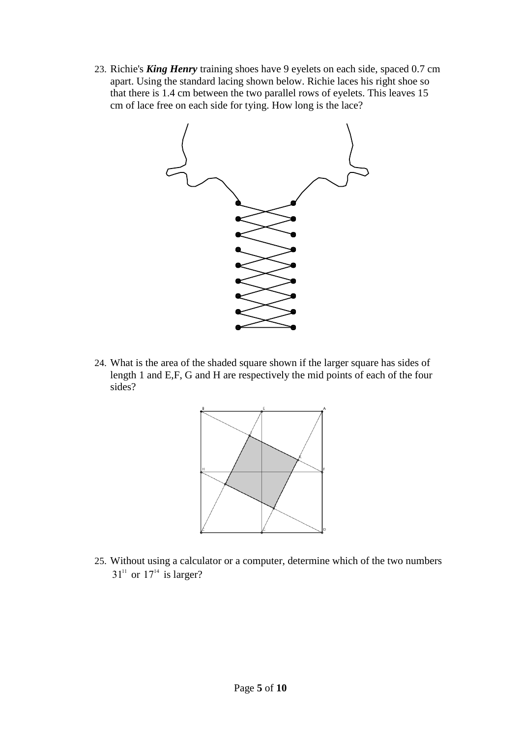23. Richie's *King Henry* training shoes have 9 eyelets on each side, spaced 0.7 cm apart. Using the standard lacing shown below. Richie laces his right shoe so that there is 1.4 cm between the two parallel rows of eyelets. This leaves 15 cm of lace free on each side for tying. How long is the lace?



24. What is the area of the shaded square shown if the larger square has sides of length 1 and E,F, G and H are respectively the mid points of each of the four sides?



25. Without using a calculator or a computer, determine which of the two numbers  $31<sup>11</sup>$  or  $17<sup>14</sup>$  is larger?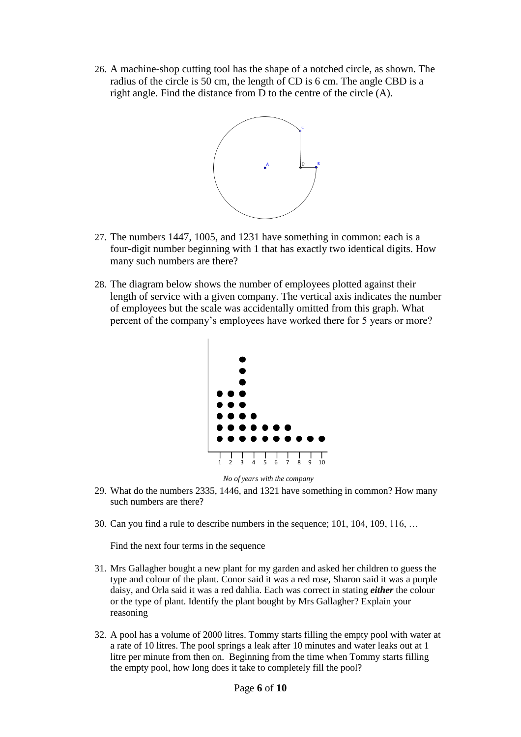26. A machine-shop cutting tool has the shape of a notched circle, as shown. The radius of the circle is 50 cm, the length of CD is 6 cm. The angle CBD is a right angle. Find the distance from D to the centre of the circle (A).



- 27. The numbers 1447, 1005, and 1231 have something in common: each is a four-digit number beginning with 1 that has exactly two identical digits. How many such numbers are there?
- 28. The diagram below shows the number of employees plotted against their length of service with a given company. The vertical axis indicates the number of employees but the scale was accidentally omitted from this graph. What percent of the company's employees have worked there for 5 years or more?



*No of years with the company*

- 29. What do the numbers 2335, 1446, and 1321 have something in common? How many such numbers are there?
- 30. Can you find a rule to describe numbers in the sequence; 101, 104, 109, 116, …

Find the next four terms in the sequence

- 31. Mrs Gallagher bought a new plant for my garden and asked her children to guess the type and colour of the plant. Conor said it was a red rose, Sharon said it was a purple daisy, and Orla said it was a red dahlia. Each was correct in stating *either* the colour or the type of plant. Identify the plant bought by Mrs Gallagher? Explain your reasoning
- 32. A pool has a volume of 2000 litres. Tommy starts filling the empty pool with water at a rate of 10 litres. The pool springs a leak after 10 minutes and water leaks out at 1 litre per minute from then on. Beginning from the time when Tommy starts filling the empty pool, how long does it take to completely fill the pool?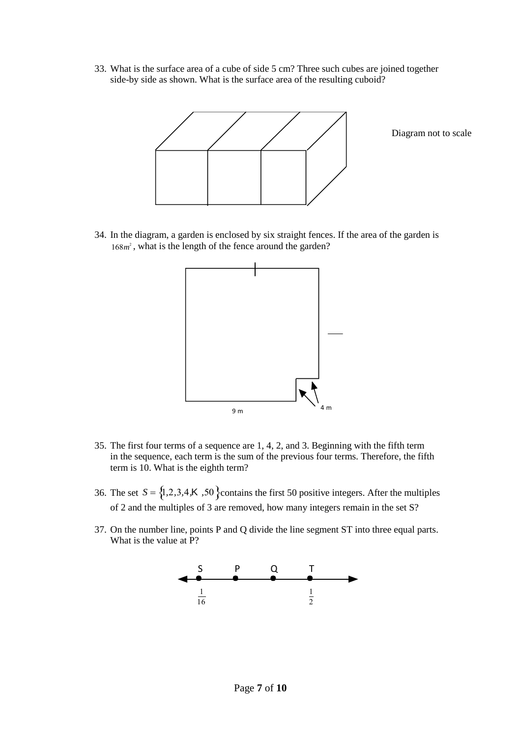33. What is the surface area of a cube of side 5 cm? Three such cubes are joined together side-by side as shown. What is the surface area of the resulting cuboid?



Diagram not to scale

34. In the diagram, a garden is enclosed by six straight fences. If the area of the garden is 168*<sup>m</sup>* 2 , what is the length of the fence around the garden?



- 35. The first four terms of a sequence are 1, 4, 2, and 3. Beginning with the fifth term in the sequence, each term is the sum of the previous four terms. Therefore, the fifth term is 10. What is the eighth term?
- 36. The set  $S = \{1, 2, 3, 4, K, 50\}$ contains the first 50 positive integers. After the multiples of 2 and the multiples of 3 are removed, how many integers remain in the set S?
- 37. On the number line, points P and Q divide the line segment ST into three equal parts. What is the value at P?

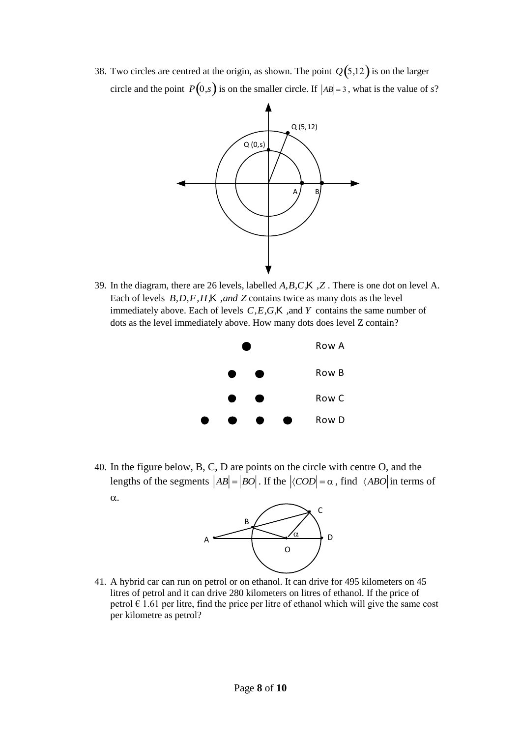38. Two circles are centred at the origin, as shown. The point  $Q(5,12)$  is on the larger circle and the point  $P(0,s)$  is on the smaller circle. If  $|AB| = 3$ , what is the value of *s*?



39. In the diagram, there are 26 levels, labelled *A,B,C,*K *,Z* . There is one dot on level A. Each of levels *B,D,F,H,*K *,and Z* contains twice as many dots as the level immediately above. Each of levels *C,E,G,*K *,*and *Y* contains the same number of dots as the level immediately above. How many dots does level Z contain?



40. In the figure below, B, C, D are points on the circle with centre O, and the lengths of the segments  $|AB| = |BO|$ . If the  $|\langle COD| = \alpha$ , find  $|\langle ABO|$  in terms of  $\alpha$ .



41. A hybrid car can run on petrol or on ethanol. It can drive for 495 kilometers on 45 litres of petrol and it can drive 280 kilometers on litres of ethanol. If the price of petrol  $\epsilon$  1.61 per litre, find the price per litre of ethanol which will give the same cost per kilometre as petrol?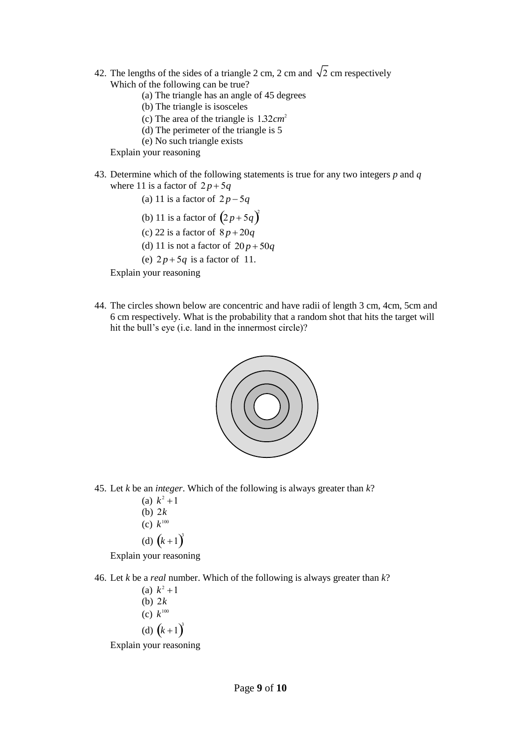- 42. The lengths of the sides of a triangle 2 cm, 2 cm and  $\sqrt{2}$  cm respectively Which of the following can be true?
	- (a) The triangle has an angle of 45 degrees
	- (b) The triangle is isosceles
	- (c) The area of the triangle is 1*.*32*cm* 2
	- (d) The perimeter of the triangle is 5
	- (e) No such triangle exists

Explain your reasoning

- 43. Determine which of the following statements is true for any two integers *p* and *q* where 11 is a factor of  $2p+5q$ 
	- (a) 11 is a factor of  $2p-5q$
	- (b) 11 is a factor of  $(2p+5q)^2$
	- (c) 22 is a factor of  $8p + 20q$
	- (d) 11 is not a factor of  $20p + 50q$

(e)  $2p+5q$  is a factor of 11.

Explain your reasoning

44. The circles shown below are concentric and have radii of length 3 cm, 4cm, 5cm and 6 cm respectively. What is the probability that a random shot that hits the target will hit the bull's eye (i.e. land in the innermost circle)?



- 45. Let *k* be an *integer*. Which of the following is always greater than *k*?
	- (a)  $k^2 + 1$ (b) 2*k* (c)  $k^{100}$ (d)  $(k+1)^3$ Explain your reasoning
- 46. Let *k* be a *real* number. Which of the following is always greater than *k*?
	- (a)  $k^2 + 1$ (b) 2*k* (c)  $k^{100}$ (d)  $(k+1)^3$

Explain your reasoning